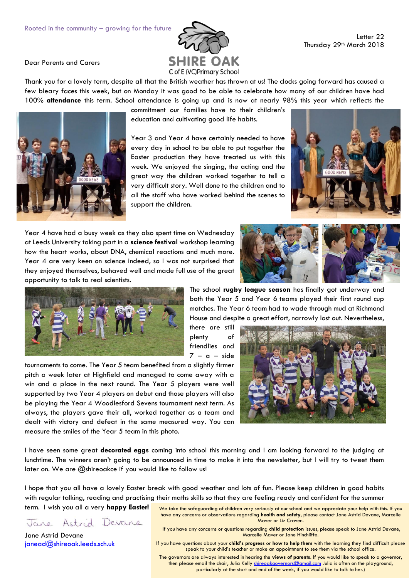

Dear Parents and Carers

Thank you for a lovely term, despite all that the British weather has thrown at us! The clocks going forward has caused a few bleary faces this week, but on Monday it was good to be able to celebrate how many of our children have had 100% **attendance** this term. School attendance is going up and is now at nearly 98% this year which reflects the

commitment our families have to their children's education and cultivating good life habits.

Year 3 and Year 4 have certainly needed to have every day in school to be able to put together the Easter production they have treated us with this week. We enjoyed the singing, the acting and the great way the children worked together to tell a very difficult story. Well done to the children and to all the staff who have worked behind the scenes to support the children.

Year 4 have had a busy week as they also spent time on Wednesday at Leeds University taking part in a **science festival** workshop learning how the heart works, about DNA, chemical reactions and much more. Year 4 are very keen on science indeed, so I was not surprised that they enjoyed themselves, behaved well and made full use of the great opportunity to talk to real scientists.







tournaments to come. The Year 5 team benefited from a slightly firmer pitch a week later at Highfield and managed to come away with a win and a place in the next round. The Year 5 players were well supported by two Year 4 players on debut and those players will also be playing the Year 4 Woodlesford Sevens tournament next term. As always, the players gave their all, worked together as a team and dealt with victory and defeat in the same measured way. You can measure the smiles of the Year 5 team in this photo.

The school **rugby league season** has finally got underway and both the Year 5 and Year 6 teams played their first round cup matches. The Year 6 team had to wade through mud at Richmond House and despite a great effort, narrowly lost out. Nevertheless,

there are still plenty of friendlies and  $7 - a - side$ 



I have seen some great **decorated eggs** coming into school this morning and I am looking forward to the judging at lunchtime. The winners aren't going to be announced in time to make it into the newsletter, but I will try to tweet them later on. We are @shireoakce if you would like to follow us!

I hope that you all have a lovely Easter break with good weather and lots of fun. Please keep children in good habits with regular talking, reading and practising their maths skills so that they are feeling ready and confident for the summer

Jane Astrid Devane

term. I wish you all a very **happy Easter!**

Jane Astrid Devane [janead@shireoak.leeds.sch.uk](mailto:janead@shireoak.leeds.sch.uk) We take the safeguarding of children very seriously at our school and we appreciate your help with this. If you have any concerns or observations regarding **health and safety**, please contact Jane Astrid Devane, Marcelle Maver or Liz Craven.

If you have any concerns or questions regarding **child protection** issues, please speak to Jane Astrid Devane, Marcelle Maver or Jane Hinchliffe.

If you have questions about your **child's progress** or **how to help them** with the learning they find difficult please speak to your child's teacher or make an appointment to see them via the school office.

The governors are always interested in hearing the **views of parents**. If you would like to speak to a governor, then please email the chair, Julia Kelly [shireoakgovernors@gmail.com](mailto:shireoakgovernors@gmail.com) Julia is often on the playground, particularly at the start and end of the week, if you would like to talk to her.)